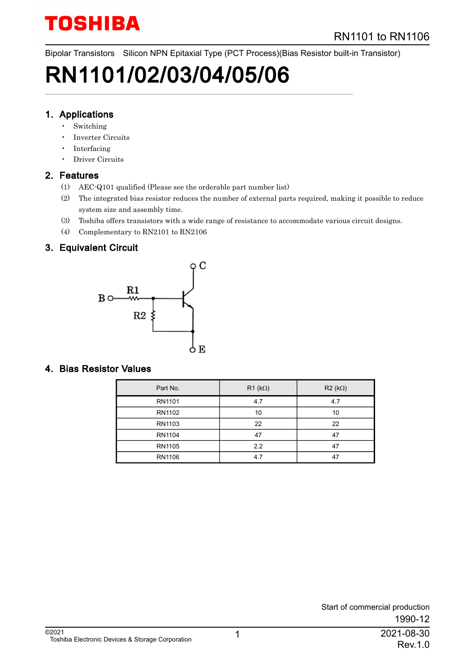Bipolar Transistors Silicon NPN Epitaxial Type (PCT Process)(Bias Resistor built-in Transistor)

# RN1101/02/03/04/05/06

### 1. Applications

- **Switching**
- Inverter Circuits
- Interfacing
- Driver Circuits

### 2. Features

- (1) AEC-Q101 qualified (Please see the orderable part number list)
- (2) The integrated bias resistor reduces the number of external parts required, making it possible to reduce system size and assembly time.
- (3) Toshiba offers transistors with a wide range of resistance to accommodate various circuit designs.
- (4) Complementary to RN2101 to RN2106

### 3. Equivalent Circuit



### 4. Bias Resistor Values

| Part No.      | $R1$ (k $\Omega$ ) | $R2 (k\Omega)$ |
|---------------|--------------------|----------------|
| RN1101        | 4.7                | 4.7            |
| RN1102        | 10                 | 10             |
| RN1103        | 22                 | 22             |
| <b>RN1104</b> | 47                 | 47             |
| RN1105        | 2.2                | 47             |
| RN1106        | 4.7                | 47             |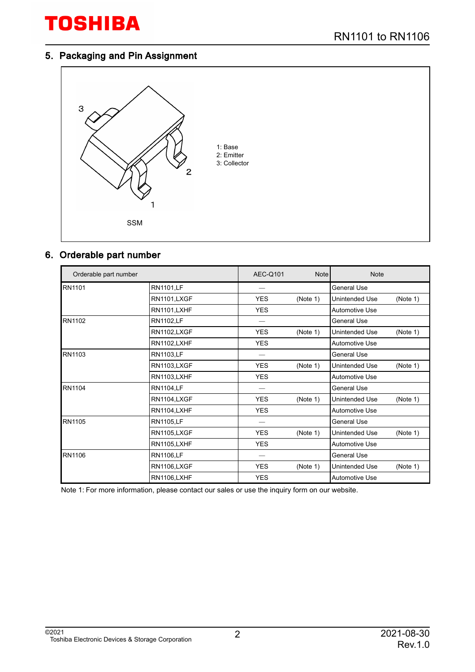#### 5. Packaging and Pin Assignment



### 6. Orderable part number

| Orderable part number |                    | <b>AEC-Q101</b> | <b>Note</b> | <b>Note</b>                |
|-----------------------|--------------------|-----------------|-------------|----------------------------|
| <b>RN1101</b>         | <b>RN1101,LF</b>   |                 |             | <b>General Use</b>         |
|                       | RN1101,LXGF        | <b>YES</b>      | (Note 1)    | (Note 1)<br>Unintended Use |
|                       | RN1101,LXHF        | <b>YES</b>      |             | <b>Automotive Use</b>      |
| RN1102                | <b>RN1102,LF</b>   |                 |             | General Use                |
|                       | RN1102,LXGF        | <b>YES</b>      | (Note 1)    | Unintended Use<br>(Note 1) |
|                       | <b>RN1102,LXHF</b> | <b>YES</b>      |             | <b>Automotive Use</b>      |
| <b>RN1103</b>         | <b>RN1103,LF</b>   |                 |             | <b>General Use</b>         |
|                       | RN1103,LXGF        | YES.            | (Note 1)    | (Note 1)<br>Unintended Use |
|                       | <b>RN1103,LXHF</b> | <b>YES</b>      |             | Automotive Use             |
| RN1104                | <b>RN1104,LF</b>   |                 |             | <b>General Use</b>         |
|                       | RN1104,LXGF        | <b>YES</b>      | (Note 1)    | Unintended Use<br>(Note 1) |
|                       | RN1104,LXHF        | <b>YES</b>      |             | <b>Automotive Use</b>      |
| <b>RN1105</b>         | <b>RN1105,LF</b>   |                 |             | General Use                |
|                       | RN1105,LXGF        | <b>YES</b>      | (Note 1)    | (Note 1)<br>Unintended Use |
|                       | <b>RN1105,LXHF</b> | <b>YES</b>      |             | Automotive Use             |
| RN1106                | <b>RN1106,LF</b>   |                 |             | <b>General Use</b>         |
|                       | RN1106,LXGF        | <b>YES</b>      | (Note 1)    | Unintended Use<br>(Note 1) |
|                       | RN1106,LXHF        | <b>YES</b>      |             | <b>Automotive Use</b>      |

Note 1: For more information, please contact our sales or use the inquiry form on our website.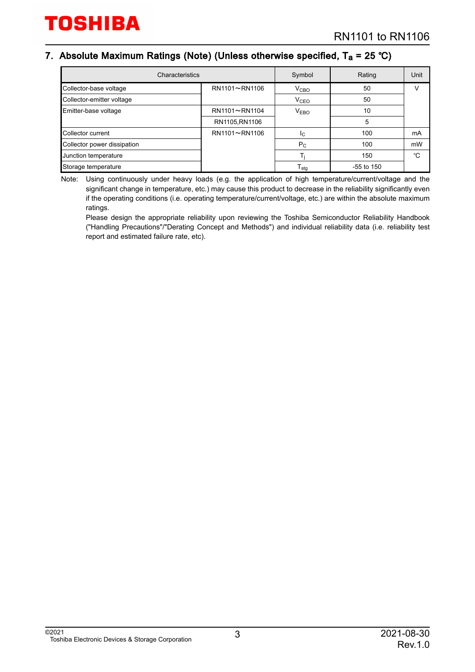### 7. Absolute Maximum Ratings (Note) (Unless otherwise specified, T<sub>a</sub> = 25 °C)

| Characteristics             | Symbol         | Rating           | Unit         |    |
|-----------------------------|----------------|------------------|--------------|----|
| Collector-base voltage      | RN1101~RN1106  | V <sub>CBO</sub> | 50           |    |
| Collector-emitter voltage   |                | V <sub>CEO</sub> | 50           |    |
| Emitter-base voltage        | RN1101~RN1104  | V <sub>EBO</sub> | 10           |    |
|                             | RN1105, RN1106 |                  | 5            |    |
| Collector current           | RN1101~RN1106  | IC.              | 100          | mA |
| Collector power dissipation |                | $P_{C}$          | 100          | mW |
| Junction temperature        |                |                  | 150          | °C |
| Storage temperature         |                | l stg            | $-55$ to 150 |    |

Note: Using continuously under heavy loads (e.g. the application of high temperature/current/voltage and the significant change in temperature, etc.) may cause this product to decrease in the reliability significantly even if the operating conditions (i.e. operating temperature/current/voltage, etc.) are within the absolute maximum ratings.

Please design the appropriate reliability upon reviewing the Toshiba Semiconductor Reliability Handbook ("Handling Precautions"/"Derating Concept and Methods") and individual reliability data (i.e. reliability test report and estimated failure rate, etc).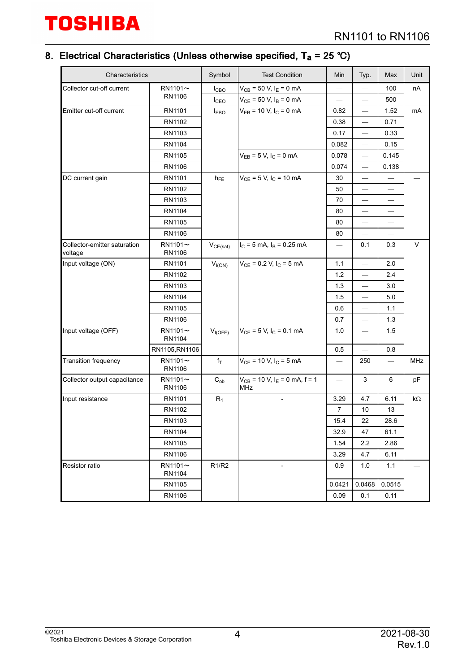#### 8. Electrical Characteristics (Unless otherwise specified, T<sub>a</sub> = 25 ℃)

| Characteristics                            |                         | Symbol                         | <b>Test Condition</b>                                | Min                               | Typ.                           | Max                           | Unit   |
|--------------------------------------------|-------------------------|--------------------------------|------------------------------------------------------|-----------------------------------|--------------------------------|-------------------------------|--------|
| Collector cut-off current<br>$RN1101 \sim$ |                         | $I_{CBO}$                      | $V_{CB}$ = 50 V, $I_E$ = 0 mA                        |                                   |                                | 100                           | nA     |
|                                            | RN1106                  | I <sub>CEO</sub>               | $V_{CE}$ = 50 V, $I_B$ = 0 mA                        | $\overbrace{\phantom{123221111}}$ | $\overline{\phantom{0}}$       | 500                           |        |
| Emitter cut-off current                    | RN1101                  | <b>I</b> <sub>EBO</sub>        | $V_{EB}$ = 10 V, $I_C$ = 0 mA                        | 0.82                              | $\overline{\phantom{0}}$       | 1.52                          | mA     |
|                                            | RN1102                  |                                |                                                      | 0.38                              | $\overline{\phantom{0}}$       | 0.71                          |        |
|                                            | RN1103                  |                                |                                                      | 0.17                              | $\qquad \qquad -$              | 0.33                          |        |
|                                            | RN1104                  |                                |                                                      | 0.082                             | $\overline{\phantom{0}}$       | 0.15                          |        |
|                                            | RN1105                  |                                | $V_{EB} = 5 V, I_C = 0 mA$                           | 0.078                             | $\overline{\phantom{0}}$       | 0.145                         |        |
|                                            | RN1106                  |                                |                                                      | 0.074                             | $\qquad \qquad \longleftarrow$ | 0.138                         |        |
| DC current gain                            | RN1101                  | $h_{FE}$                       | $V_{CE}$ = 5 V, I <sub>C</sub> = 10 mA               | 30                                | $\overline{\phantom{0}}$       |                               |        |
|                                            | RN1102                  |                                |                                                      | 50                                |                                |                               |        |
|                                            | RN1103                  |                                |                                                      | 70                                | $\overline{\phantom{0}}$       | $\overbrace{\phantom{13333}}$ |        |
|                                            | RN1104                  |                                |                                                      | 80                                | $\overline{\phantom{0}}$       |                               |        |
|                                            | RN1105                  |                                |                                                      | 80                                |                                |                               |        |
|                                            | RN1106                  |                                |                                                      | 80                                |                                |                               |        |
| Collector-emitter saturation<br>voltage    | $RN1101 \sim$<br>RN1106 | $V_{CE(sat)}$                  | $I_C = 5$ mA, $I_B = 0.25$ mA                        | $\qquad \qquad -$                 | 0.1                            | 0.3                           | $\vee$ |
| Input voltage (ON)                         | RN1101                  | $V_{I(ON)}$                    | $V_{CE}$ = 0.2 V, $I_C$ = 5 mA                       | 1.1                               | $\overline{\phantom{0}}$       | 2.0                           |        |
|                                            | RN1102                  |                                |                                                      | 1.2                               | $\overline{\phantom{0}}$       | 2.4                           |        |
|                                            | RN1103                  |                                |                                                      | 1.3                               | $\qquad \qquad \longleftarrow$ | 3.0                           |        |
|                                            | RN1104                  |                                |                                                      | 1.5                               | $\overline{\phantom{0}}$       | 5.0                           |        |
|                                            | RN1105                  |                                |                                                      | 0.6                               | $\overline{\phantom{0}}$       | 1.1                           |        |
|                                            | RN1106                  |                                |                                                      | 0.7                               |                                | 1.3                           |        |
| Input voltage (OFF)                        | $RN1101 \sim$<br>RN1104 | $V_{I(OFF)}$                   | $V_{CE}$ = 5 V, I <sub>C</sub> = 0.1 mA              | 1.0                               | $\overline{\phantom{0}}$       | 1.5                           |        |
|                                            | RN1105, RN1106          |                                |                                                      | 0.5                               |                                | 0.8                           |        |
| Transition frequency                       | $RN1101 \sim$<br>RN1106 | $f_T$                          | $V_{CE}$ = 10 V, I <sub>C</sub> = 5 mA               | $\overline{\phantom{m}}$          | 250                            |                               | MHz    |
| Collector output capacitance               | $RN1101 \sim$<br>RN1106 | $C_{ob}$                       | $V_{CB}$ = 10 V, I <sub>E</sub> = 0 mA, f = 1<br>MHz |                                   | 3                              | 6                             | pF     |
| Input resistance                           | RN1101                  | $R_1$                          |                                                      | 3.29                              | 4.7                            | 6.11                          | kΩ     |
|                                            | RN1102                  |                                |                                                      | 7                                 | 10                             | 13                            |        |
|                                            | RN1103                  |                                |                                                      | 15.4                              | 22                             | 28.6                          |        |
|                                            | RN1104                  |                                |                                                      | 32.9                              | 47                             | 61.1                          |        |
|                                            | RN1105                  |                                |                                                      | 1.54                              | 2.2                            | 2.86                          |        |
|                                            | RN1106                  |                                |                                                      | 3.29                              | 4.7                            | 6.11                          |        |
| Resistor ratio                             | $RN1101 \sim$<br>RN1104 | R <sub>1</sub> /R <sub>2</sub> | $\overline{\phantom{a}}$                             | 0.9                               | 1.0                            | 1.1                           |        |
|                                            | RN1105                  |                                |                                                      | 0.0421                            | 0.0468                         | 0.0515                        |        |
|                                            | RN1106                  |                                |                                                      | 0.09                              | 0.1                            | 0.11                          |        |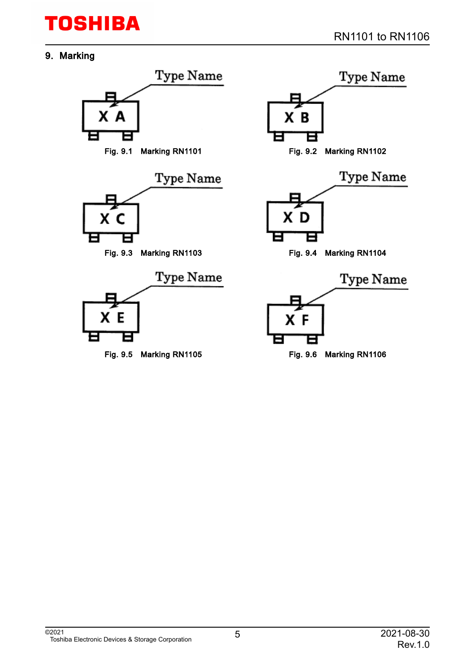### 9. Marking

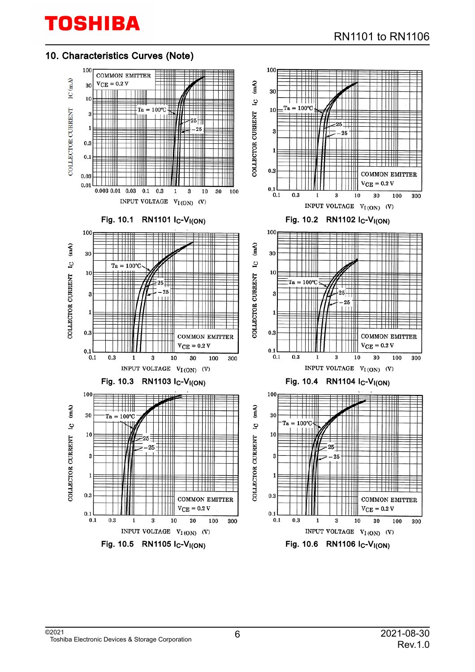### 10. Characteristics Curves (Note)

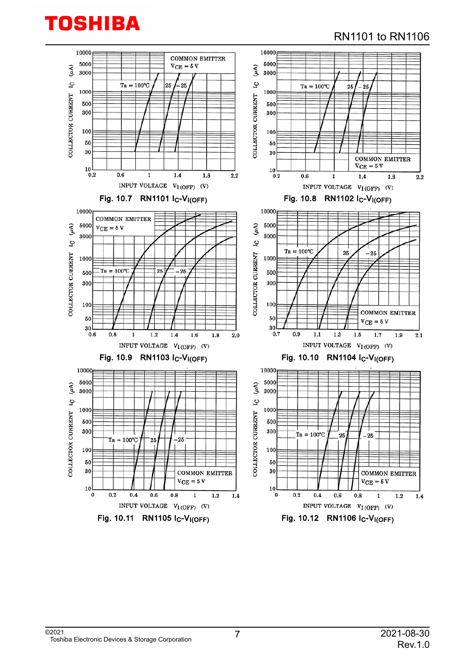### RN1101 to RN1106

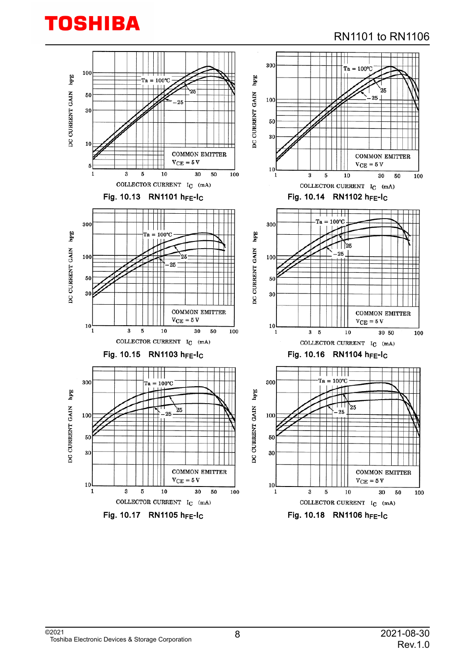### RN1101 to RN1106

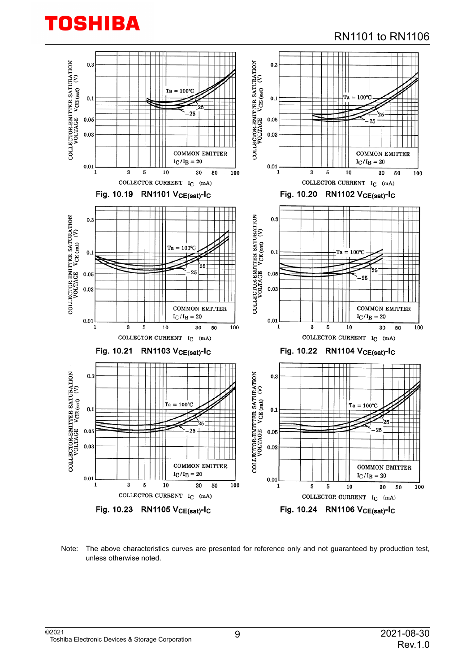### RN1101 to RN1106



Note: The above characteristics curves are presented for reference only and not guaranteed by production test, unless otherwise noted.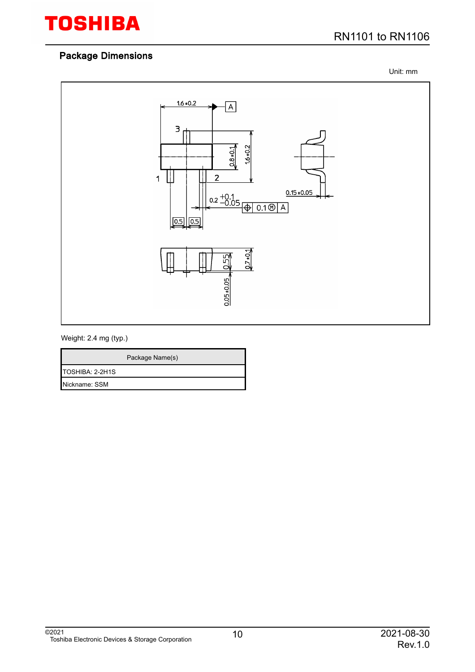

Unit: mm



#### Weight: 2.4 mg (typ.)

|                 | Package Name(s) |
|-----------------|-----------------|
| TOSHIBA: 2-2H1S |                 |
| Nickname: SSM   |                 |